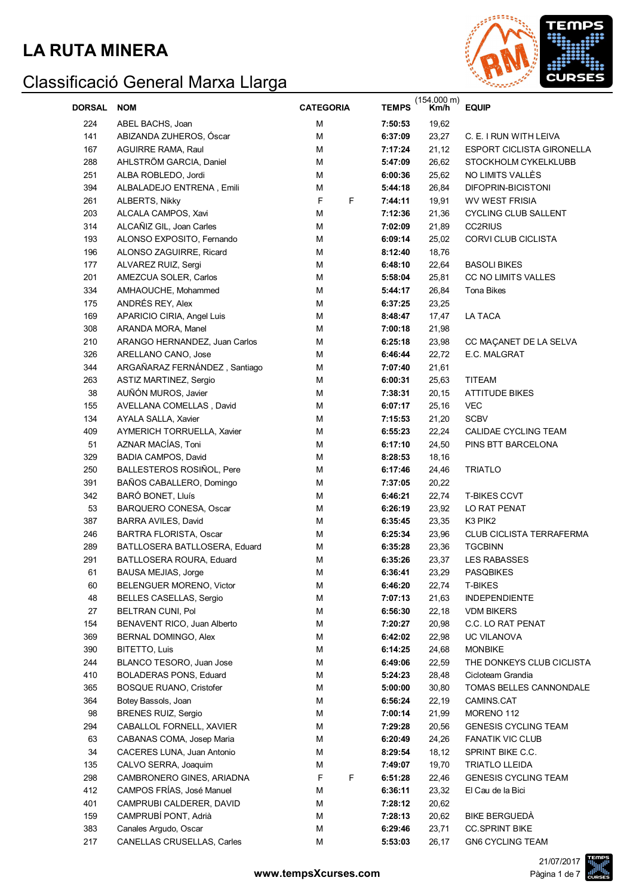

| <b>DORSAL</b> | <b>NOM</b>                    | <b>CATEGORIA</b> | <b>TEMPS</b>     | $(154.000 \text{ m})$<br>Km/h | <b>EQUIP</b>                     |
|---------------|-------------------------------|------------------|------------------|-------------------------------|----------------------------------|
| 224           | ABEL BACHS, Joan              | М                | 7:50:53          | 19,62                         |                                  |
| 141           | ABIZANDA ZUHEROS, Óscar       | M                | 6:37:09          | 23,27                         | C. E. I RUN WITH LEIVA           |
| 167           | <b>AGUIRRE RAMA, Raul</b>     | М                | 21,12<br>7:17:24 |                               | <b>ESPORT CICLISTA GIRONELLA</b> |
| 288           | AHLSTRÖM GARCIA, Daniel       | М                | 5:47:09          | 26,62                         | STOCKHOLM CYKELKLUBB             |
| 251           | ALBA ROBLEDO, Jordi           | М                | 6:00:36          | 25,62                         | NO LIMITS VALLES                 |
| 394           | ALBALADEJO ENTRENA, Emili     | М                | 5:44:18          | 26,84                         | DIFOPRIN-BICISTONI               |
| 261           | ALBERTS, Nikky                | F<br>F           | 7:44:11          | 19,91                         | <b>WV WEST FRISIA</b>            |
| 203           | ALCALA CAMPOS, Xavi           | М                | 7:12:36          | 21,36                         | <b>CYCLING CLUB SALLENT</b>      |
| 314           | ALCAÑIZ GIL, Joan Carles      | М                | 7:02:09          | 21,89                         | <b>CC2RIUS</b>                   |
| 193           | ALONSO EXPOSITO, Fernando     | М                | 6:09:14          | 25,02                         | CORVI CLUB CICLISTA              |
| 196           | ALONSO ZAGUIRRE, Ricard       | М                | 8:12:40          | 18,76                         |                                  |
| 177           | ALVAREZ RUIZ, Sergi           | М                | 6:48:10          | 22,64                         | <b>BASOLI BIKES</b>              |
| 201           | AMEZCUA SOLER, Carlos         | М                | 5:58:04          | 25,81                         | <b>CC NO LIMITS VALLES</b>       |
| 334           | AMHAOUCHE, Mohammed           | М                | 5:44:17          | 26,84                         | Tona Bikes                       |
| 175           | ANDRÉS REY, Alex              | М                | 6:37:25          | 23,25                         |                                  |
| 169           | APARICIO CIRIA, Angel Luis    | М                | 8:48:47          | 17,47                         | LA TACA                          |
| 308           | ARANDA MORA, Manel            | М                | 7:00:18          | 21,98                         |                                  |
| 210           | ARANGO HERNANDEZ, Juan Carlos | М                | 6:25:18          | 23,98                         | CC MAÇANET DE LA SELVA           |
| 326           | ARELLANO CANO, Jose           | M                | 6:46:44          | 22,72                         | E.C. MALGRAT                     |
| 344           | ARGAÑARAZ FERNÁNDEZ, Santiago | M                | 7:07:40          | 21,61                         |                                  |
| 263           | ASTIZ MARTINEZ, Sergio        | M                | 6:00:31          | 25,63                         | <b>TITEAM</b>                    |
| 38            | AUÑÓN MUROS, Javier           | M                | 7:38:31          | 20,15                         | <b>ATTITUDE BIKES</b>            |
| 155           | AVELLANA COMELLAS, David      | M                | 6:07:17          | 25,16                         | <b>VEC</b>                       |
| 134           | AYALA SALLA, Xavier           | М                | 7:15:53          | 21,20                         | <b>SCBV</b>                      |
| 409           | AYMERICH TORRUELLA, Xavier    | М                | 6:55:23          | 22,24                         | CALIDAE CYCLING TEAM             |
| 51            | AZNAR MACÍAS, Toni            | М                | 6:17:10          | 24,50                         | PINS BTT BARCELONA               |
| 329           | BADIA CAMPOS, David           | М                | 8:28:53          | 18,16                         |                                  |
| 250           | BALLESTEROS ROSIÑOL, Pere     | М                | 6:17:46          | 24,46                         | <b>TRIATLO</b>                   |
| 391           | BAÑOS CABALLERO, Domingo      | М                | 7:37:05          | 20,22                         |                                  |
| 342           | BARÓ BONET, Lluís             | М                | 6:46:21          | 22,74                         | <b>T-BIKES CCVT</b>              |
| 53            | BARQUERO CONESA, Oscar        | М                | 6:26:19          | 23,92                         | LO RAT PENAT                     |
| 387           | BARRA AVILES, David           | М                | 6:35:45          | 23,35                         | K3 PIK2                          |
| 246           | BARTRA FLORISTA, Oscar        | М                | 6:25:34          | 23,96                         | <b>CLUB CICLISTA TERRAFERMA</b>  |
| 289           | BATLLOSERA BATLLOSERA, Eduard | М                | 6:35:28          | 23,36                         | <b>TGCBINN</b>                   |
| 291           | BATLLOSERA ROURA, Eduard      | М                | 6:35:26          | 23,37                         | <b>LES RABASSES</b>              |
| 61            | BAUSA MEJIAS, Jorge           | М                | 6:36:41          | 23,29                         | <b>PASQBIKES</b>                 |
| 60            | BELENGUER MORENO, Victor      | М                | 6:46:20          | 22,74                         | T-BIKES                          |
| 48            | BELLES CASELLAS, Sergio       | M                | 7:07:13          | 21,63                         | INDEPENDIENTE                    |
| 27            | BELTRAN CUNI, Pol             | M                | 6:56:30          | 22,18                         | <b>VDM BIKERS</b>                |
| 154           | BENAVENT RICO, Juan Alberto   | M                | 7:20:27          | 20,98                         | C.C. LO RAT PENAT                |
| 369           | BERNAL DOMINGO, Alex          | M                | 6:42:02          | 22,98                         | UC VILANOVA                      |
| 390           | BITETTO, Luis                 | M                | 6:14:25          | 24,68                         | <b>MONBIKE</b>                   |
| 244           | BLANCO TESORO, Juan Jose      | M                | 6:49:06          | 22,59                         | THE DONKEYS CLUB CICLISTA        |
| 410           | <b>BOLADERAS PONS, Eduard</b> | M                | 5:24:23          | 28,48                         | Cicloteam Grandia                |
| 365           | BOSQUE RUANO, Cristofer       | M                | 5:00:00          | 30,80                         | TOMAS BELLES CANNONDALE          |
| 364           | Botey Bassols, Joan           | M                | 6:56:24          | 22,19                         | CAMINS.CAT                       |
| 98            | <b>BRENES RUIZ, Sergio</b>    | M                | 7:00:14          | 21,99                         | MORENO 112                       |
| 294           | CABALLOL FORNELL, XAVIER      | M                | 7:29:28          | 20,56                         | <b>GENESIS CYCLING TEAM</b>      |
| 63            | CABANAS COMA, Josep Maria     | M                | 6:20:49          | 24,26                         | <b>FANATIK VIC CLUB</b>          |
| 34            | CACERES LUNA, Juan Antonio    | M                | 8:29:54          | 18,12                         | SPRINT BIKE C.C.                 |
| 135           | CALVO SERRA, Joaquim          | М                | 7:49:07          | 19,70                         | <b>TRIATLO LLEIDA</b>            |
| 298           | CAMBRONERO GINES, ARIADNA     | F<br>F           | 6:51:28          | 22,46                         | <b>GENESIS CYCLING TEAM</b>      |
| 412           | CAMPOS FRÍAS, José Manuel     | М                | 6:36:11          | 23,32                         | El Cau de la Bici                |
| 401           | CAMPRUBI CALDERER, DAVID      | М                | 7:28:12          | 20,62                         |                                  |
| 159           | CAMPRUBÍ PONT, Adrià          | М                | 7:28:13          | 20,62                         | BIKE BERGUEDÀ                    |
| 383           | Canales Argudo, Oscar         | M                | 6:29:46          | 23,71                         | <b>CC.SPRINT BIKE</b>            |
| 217           | CANELLAS CRUSELLAS, Carles    | M                | 5:53:03          | 26,17                         | GN6 CYCLING TEAM                 |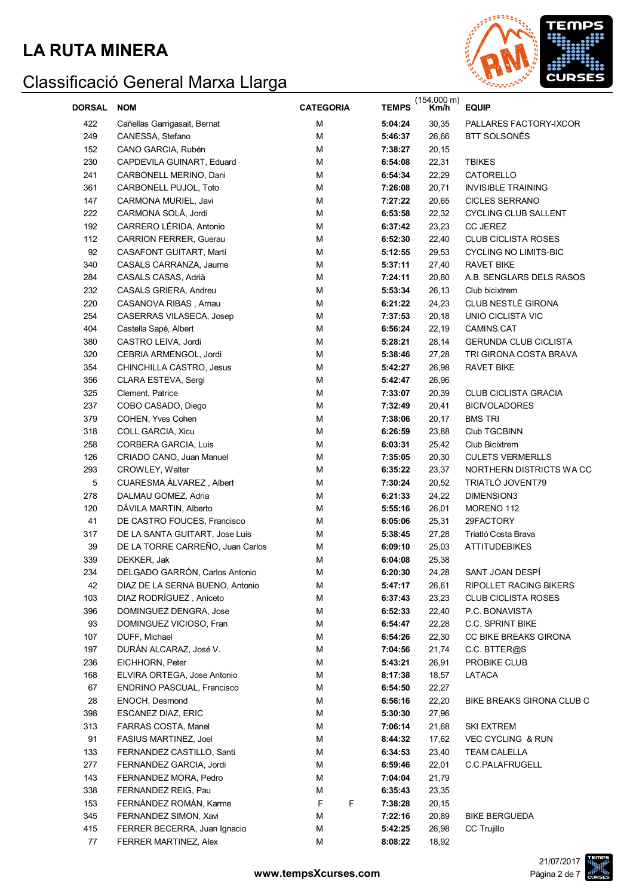

| <b>DORSAL</b> | <b>NOM</b>                       | <b>CATEGORIA</b> | <b>TEMPS</b> | $(154.000 \text{ m})$<br>Km/h | <b>EQUIP</b>                 |
|---------------|----------------------------------|------------------|--------------|-------------------------------|------------------------------|
| 422           | Cañellas Garrigasait, Bernat     | M                | 5:04:24      | 30,35                         | PALLARES FACTORY-IXCOR       |
| 249           | CANESSA, Stefano                 | M                | 5:46:37      | 26,66                         | BTT SOLSONÉS                 |
| 152           | CANO GARCIA, Rubén               | M                | 7:38:27      | 20,15                         |                              |
| 230           | CAPDEVILA GUINART, Eduard        | M                | 6:54:08      | 22,31                         | <b>TBIKES</b>                |
| 241           | CARBONELL MERINO, Dani           | M                | 6:54:34      | 22,29                         | CATORELLO                    |
| 361           | CARBONELL PUJOL, Toto            | M                | 7:26:08      | 20,71                         | <b>INVISIBLE TRAINING</b>    |
| 147           | CARMONA MURIEL, Javi             | M                | 7:27:22      | 20,65                         | <b>CICLES SERRANO</b>        |
| 222           | CARMONA SOLÀ, Jordi              | M                | 6:53:58      | 22,32                         | <b>CYCLING CLUB SALLENT</b>  |
| 192           | CARRERO LÉRIDA, Antonio          | M                | 6:37:42      | 23,23                         | <b>CC JEREZ</b>              |
| 112           | <b>CARRION FERRER, Guerau</b>    | M                | 6:52:30      | 22,40                         | <b>CLUB CICLISTA ROSES</b>   |
| 92            | CASAFONT GUITART, Martí          | м                | 5:12:55      | 29,53                         | <b>CYCLING NO LIMITS-BIC</b> |
| 340           | CASALS CARRANZA, Jaume           | М                | 5:37:11      | 27,40                         | <b>RAVET BIKE</b>            |
| 284           | CASALS CASAS, Adrià              | м                | 7:24:11      | 20,80                         | A.B. SENGLARS DELS RASOS     |
| 232           | CASALS GRIERA, Andreu            | M                | 5:53:34      | 26,13                         | Club bicixtrem               |
| 220           | CASANOVA RIBAS, Arnau            | м                | 6:21:22      | 24,23                         | CLUB NESTLÉ GIRONA           |
| 254           | CASERRAS VILASECA, Josep         | м                | 7:37:53      | 20,18                         | UNIO CICLISTA VIC            |
| 404           | Castella Sapé, Albert            | м                | 6:56:24      | 22,19                         | CAMINS.CAT                   |
| 380           | CASTRO LEIVA, Jordi              | M                | 5:28:21      | 28,14                         | <b>GERUNDA CLUB CICLISTA</b> |
| 320           | CEBRIA ARMENGOL, Jordi           | м                | 5:38:46      | 27,28                         | TRI GIRONA COSTA BRAVA       |
| 354           | CHINCHILLA CASTRO, Jesus         | м                | 5:42:27      | 26,98                         | <b>RAVET BIKE</b>            |
| 356           | CLARA ESTEVA, Sergi              | м                | 5:42:47      | 26,96                         |                              |
| 325           | Clement, Patrice                 | м                | 7:33:07      | 20,39                         | <b>CLUB CICLISTA GRACIA</b>  |
| 237           | COBO CASADO, Diego               | м                | 7:32:49      | 20,41                         | <b>BICIVOLADORES</b>         |
| 379           | COHEN, Yves Cohen                | M                | 7:38:06      | 20,17                         | <b>BMS TRI</b>               |
| 318           | COLL GARCIA, Xicu                | M                | 6:26:59      | 23,88                         | Club TGCBINN                 |
| 258           | CORBERA GARCIA, Luis             | M                | 6:03:31      | 25,42                         | Club Bicixtrem               |
| 126           | CRIADO CANO, Juan Manuel         | M                | 7:35:05      | 20,30                         | <b>CULETS VERMERLLS</b>      |
| 293           | CROWLEY, Walter                  | M                | 6:35:22      | 23,37                         | NORTHERN DISTRICTS WA CC     |
| $\mathbf 5$   | CUARESMA ÁLVAREZ, Albert         | M                | 7:30:24      | 20,52                         | TRIATLÓ JOVENT79             |
| 278           | DALMAU GOMEZ, Adria              | M                | 6:21:33      | 24,22                         | DIMENSION3                   |
| 120           | DÁVILA MARTIN, Alberto           | M                | 5:55:16      | 26,01                         | MORENO 112                   |
| 41            | DE CASTRO FOUCES, Francisco      | M                | 6:05:06      | 25,31                         | 29FACTORY                    |
| 317           | DE LA SANTA GUITART, Jose Luis   | M                | 5:38:45      | 27,28                         | Triatló Costa Brava          |
| 39            | DE LA TORRE CARREÑO, Juan Carlos | M                | 6:09:10      | 25,03                         | <b>ATTITUDEBIKES</b>         |
| 339           | DEKKER, Jak                      | М                | 6:04:08      | 25,38                         |                              |
| 234           | DELGADO GARRÓN, Carlos Antonio   | M                | 6:20:30      | 24,28                         | SANT JOAN DESPÍ              |
| 42            | DIAZ DE LA SERNA BUENO, Antonio  | M                | 5:47:17      | 26,61                         | RIPOLLET RACING BIKERS       |
| 103           | DIAZ RODRÍGUEZ, Aniceto          | M                | 6:37:43      | 23,23                         | <b>CLUB CICLISTA ROSES</b>   |
| 396           | DOMINGUEZ DENGRA, Jose           | M                | 6:52:33      | 22,40                         | P.C. BONAVISTA               |
| 93            | DOMINGUEZ VICIOSO, Fran          | M                | 6:54:47      | 22,28                         | <b>C.C. SPRINT BIKE</b>      |
| 107           | DUFF, Michael                    | M                | 6:54:26      | 22,30                         | CC BIKE BREAKS GIRONA        |
| 197           | DURÁN ALCARAZ, José V.           | M                | 7:04:56      | 21,74                         | C.C. BTTER@S                 |
| 236           | EICHHORN, Peter                  | M                | 5:43:21      | 26,91                         | PROBIKE CLUB                 |
| 168           | ELVIRA ORTEGA, Jose Antonio      | M                | 8:17:38      | 18,57                         | LATACA                       |
| 67            | ENDRINO PASCUAL, Francisco       | M                | 6:54:50      | 22,27                         |                              |
| 28            | ENOCH, Desmond                   | M                | 6:56:16      | 22,20                         | BIKE BREAKS GIRONA CLUB C    |
| 398           | ESCANEZ DIAZ, ERIC               | M                | 5:30:30      | 27,96                         |                              |
| 313           | FARRAS COSTA, Manel              | M                | 7:06:14      | 21,68                         | <b>SKI EXTREM</b>            |
| 91            | FASIUS MARTINEZ, Joel            | M                | 8:44:32      | 17,62                         | <b>VEC CYCLING &amp; RUN</b> |
| 133           | FERNANDEZ CASTILLO, Santi        | M                | 6:34:53      | 23,40                         | <b>TEAM CALELLA</b>          |
| 277           | FERNANDEZ GARCIA, Jordi          | M                | 6:59:46      | 22,01                         | C.C.PALAFRUGELL              |
| 143           | FERNANDEZ MORA, Pedro            | M                | 7:04:04      | 21,79                         |                              |
| 338           | FERNANDEZ REIG, Pau              | M                | 6:35:43      | 23,35                         |                              |
| 153           | FERNÁNDEZ ROMÁN, Karme           | F<br>F           | 7:38:28      | 20,15                         |                              |
| 345           | FERNANDEZ SIMON, Xavi            | M                | 7:22:16      | 20,89                         | <b>BIKE BERGUEDA</b>         |
| 415           | FERRER BECERRA, Juan Ignacio     | M                | 5:42:25      | 26,98                         | CC Trujillo                  |
| 77            | FERRER MARTINEZ, Alex            | M                | 8:08:22      | 18,92                         |                              |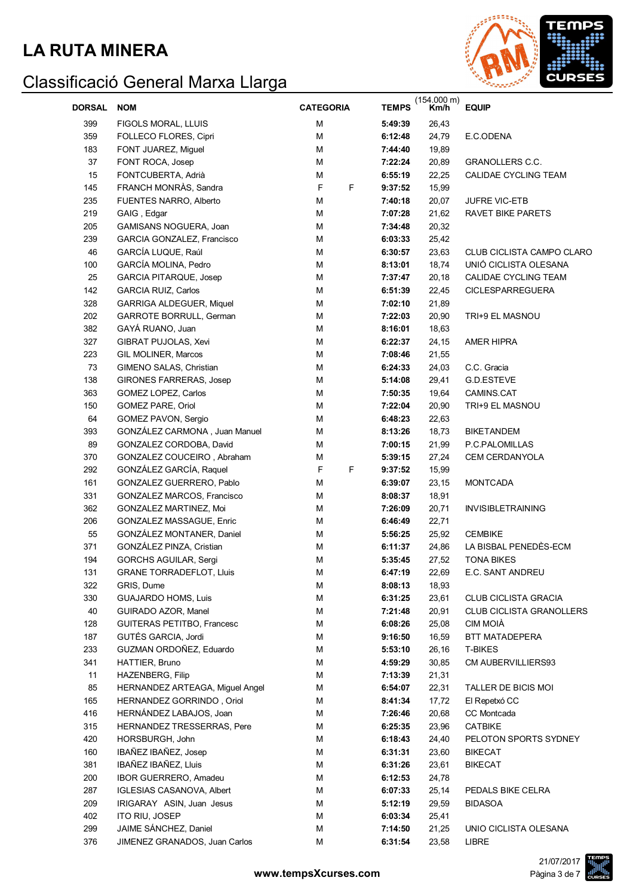

| <b>DORSAL</b> | <b>NOM</b>                      | <b>CATEGORIA</b> | <b>TEMPS</b> | $(154.000 \text{ m})$<br>Km/h | <b>EQUIP</b>                    |
|---------------|---------------------------------|------------------|--------------|-------------------------------|---------------------------------|
| 399           | FIGOLS MORAL, LLUIS             | M                | 5:49:39      | 26,43                         |                                 |
| 359           | FOLLECO FLORES, Cipri           | M                | 6:12:48      | 24,79                         | E.C.ODENA                       |
| 183           | FONT JUAREZ, Miguel             | M                | 7:44:40      | 19,89                         |                                 |
| 37            | FONT ROCA, Josep                | M                | 7:22:24      | 20,89                         | <b>GRANOLLERS C.C.</b>          |
| 15            | FONTCUBERTA, Adrià              | M                | 6:55:19      | 22,25                         | CALIDAE CYCLING TEAM            |
| 145           | FRANCH MONRAS, Sandra           | F<br>F           | 9:37:52      | 15,99                         |                                 |
| 235           | FUENTES NARRO, Alberto          | M                | 7:40:18      | 20,07                         | JUFRE VIC-ETB                   |
| 219           | GAIG, Edgar                     | M                | 7:07:28      | 21,62                         | RAVET BIKE PARETS               |
| 205           | GAMISANS NOGUERA, Joan          | M                | 7:34:48      | 20,32                         |                                 |
| 239           | GARCIA GONZALEZ, Francisco      | М                | 6:03:33      | 25,42                         |                                 |
| 46            | GARCÍA LUQUE, Raúl              | М                | 6:30:57      | 23,63                         | CLUB CICLISTA CAMPO CLARO       |
| 100           | GARCÍA MOLINA, Pedro            | M                | 8:13:01      | 18,74                         | UNIÓ CICLISTA OLESANA           |
| 25            | <b>GARCIA PITARQUE, Josep</b>   | М                | 7:37:47      | 20,18                         | CALIDAE CYCLING TEAM            |
| 142           | <b>GARCIA RUIZ, Carlos</b>      | М                | 6:51:39      | 22,45                         | <b>CICLESPARREGUERA</b>         |
| 328           | <b>GARRIGA ALDEGUER, Miquel</b> | М                | 7:02:10      | 21,89                         |                                 |
| 202           | GARROTE BORRULL, German         | M                | 7:22:03      | 20,90                         | TRI+9 EL MASNOU                 |
| 382           | GAYÁ RUANO, Juan                | M                | 8:16:01      | 18,63                         |                                 |
| 327           | GIBRAT PUJOLAS, Xevi            | M                | 6:22:37      | 24,15                         | AMER HIPRA                      |
|               | GIL MOLINER, Marcos             | M                |              |                               |                                 |
| 223           |                                 |                  | 7:08:46      | 21,55                         |                                 |
| 73            | GIMENO SALAS, Christian         | M                | 6:24:33      | 24,03                         | C.C. Gracia                     |
| 138           | <b>GIRONES FARRERAS, Josep</b>  | М                | 5:14:08      | 29,41                         | G.D.ESTEVE                      |
| 363           | GOMEZ LOPEZ, Carlos             | М                | 7:50:35      | 19,64                         | CAMINS.CAT                      |
| 150           | GOMEZ PARE, Oriol               | M                | 7:22:04      | 20,90                         | TRI+9 EL MASNOU                 |
| 64            | GOMEZ PAVON, Sergio             | M                | 6:48:23      | 22,63                         |                                 |
| 393           | GONZÁLEZ CARMONA, Juan Manuel   | М                | 8:13:26      | 18,73                         | <b>BIKETANDEM</b>               |
| 89            | GONZALEZ CORDOBA, David         | М                | 7:00:15      | 21,99                         | P.C.PALOMILLAS                  |
| 370           | GONZALEZ COUCEIRO, Abraham      | М                | 5:39:15      | 27,24                         | CEM CERDANYOLA                  |
| 292           | GONZÁLEZ GARCÍA, Raquel         | F<br>F           | 9:37:52      | 15,99                         |                                 |
| 161           | GONZALEZ GUERRERO, Pablo        | M                | 6:39:07      | 23,15                         | <b>MONTCADA</b>                 |
| 331           | GONZALEZ MARCOS, Francisco      | М                | 8:08:37      | 18,91                         |                                 |
| 362           | GONZALEZ MARTINEZ, Moi          | М                | 7:26:09      | 20,71                         | <b>INVISIBLETRAINING</b>        |
| 206           | GONZALEZ MASSAGUE, Enric        | М                | 6:46:49      | 22,71                         |                                 |
| 55            | GONZÁLEZ MONTANER, Daniel       | М                | 5:56:25      | 25,92                         | <b>CEMBIKE</b>                  |
| 371           | GONZÁLEZ PINZA, Cristian        | М                | 6:11:37      | 24,86                         | LA BISBAL PENEDÈS-ECM           |
| 194           | GORCHS AGUILAR, Sergi           | М                | 5:35:45      | 27,52                         | <b>TONA BIKES</b>               |
| 131           | <b>GRANE TORRADEFLOT, Lluis</b> | M                | 6:47:19      | 22,69                         | E.C. SANT ANDREU                |
| 322           | GRIS, Dume                      | М                | 8:08:13      | 18,93                         |                                 |
| 330           | <b>GUAJARDO HOMS, Luis</b>      | М                | 6:31:25      | 23,61                         | <b>CLUB CICLISTA GRACIA</b>     |
| 40            | GUIRADO AZOR, Manel             | М                | 7:21:48      | 20,91                         | <b>CLUB CICLISTA GRANOLLERS</b> |
| 128           | GUITERAS PETITBO, Francesc      | М                | 6:08:26      | 25,08                         | <b>CIM MOIA</b>                 |
| 187           | GUTÉS GARCIA, Jordi             | М                | 9:16:50      | 16,59                         | BTT MATADEPERA                  |
| 233           | GUZMAN ORDOÑEZ, Eduardo         | М                | 5:53:10      | 26,16                         | T-BIKES                         |
| 341           | HATTIER, Bruno                  | М                | 4:59:29      | 30,85                         | CM AUBERVILLIERS93              |
| 11            | <b>HAZENBERG, Filip</b>         | М                | 7:13:39      | 21,31                         |                                 |
| 85            | HERNANDEZ ARTEAGA, Miguel Angel | М                | 6:54:07      | 22,31                         | TALLER DE BICIS MOI             |
| 165           | HERNANDEZ GORRINDO, Oriol       | М                | 8:41:34      | 17,72                         | El Repetxó CC                   |
| 416           | HERNÁNDEZ LABAJOS, Joan         | М                | 7:26:46      | 20,68                         | CC Montcada                     |
| 315           | HERNANDEZ TRESSERRAS, Pere      | М                | 6:25:35      | 23,96                         | <b>CATBIKE</b>                  |
| 420           | HORSBURGH, John                 | М                | 6:18:43      | 24,40                         | PELOTON SPORTS SYDNEY           |
| 160           | IBAÑEZ IBAÑEZ, Josep            | М                | 6:31:31      | 23,60                         | <b>BIKECAT</b>                  |
| 381           | IBAÑEZ IBAÑEZ, Lluis            | М                | 6:31:26      | 23,61                         | <b>BIKECAT</b>                  |
| 200           | IBOR GUERRERO, Amadeu           | М                | 6:12:53      | 24,78                         |                                 |
| 287           | IGLESIAS CASANOVA, Albert       | М                | 6:07:33      | 25,14                         | PEDALS BIKE CELRA               |
| 209           | IRIGARAY ASIN, Juan Jesus       | М                | 5:12:19      | 29,59                         | <b>BIDASOA</b>                  |
| 402           | ITO RIU, JOSEP                  | M                | 6:03:34      | 25,41                         |                                 |
| 299           | JAIME SÁNCHEZ, Daniel           | M                | 7:14:50      | 21,25                         | UNIO CICLISTA OLESANA           |
| 376           | JIMENEZ GRANADOS, Juan Carlos   | М                | 6:31:54      | 23,58                         | LIBRE                           |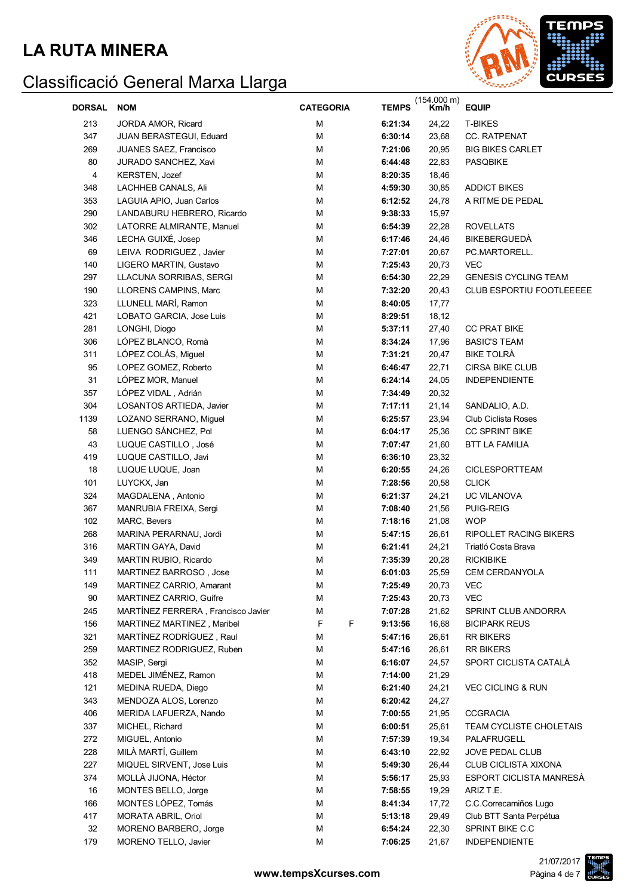

| <b>DORSAL</b> | <b>NOM</b>                         | <b>CATEGORIA</b> | <b>TEMPS</b> | $(154.000 \text{ m})$<br>Km/h | <b>EQUIP</b>                  |
|---------------|------------------------------------|------------------|--------------|-------------------------------|-------------------------------|
| 213           | JORDA AMOR, Ricard                 | M                | 6:21:34      | 24,22                         | T-BIKES                       |
| 347           | JUAN BERASTEGUI, Eduard            | M                | 6:30:14      | 23,68                         | CC. RATPENAT                  |
| 269           | JUANES SAEZ, Francisco             | M                | 7:21:06      | 20,95                         | <b>BIG BIKES CARLET</b>       |
| 80            | JURADO SANCHEZ, Xavi               | M                | 6:44:48      | 22,83                         | PASQBIKE                      |
| 4             | KERSTEN, Jozef                     | M                | 8:20:35      | 18,46                         |                               |
| 348           | LACHHEB CANALS, Ali                | М                | 4:59:30      | 30,85                         | <b>ADDICT BIKES</b>           |
| 353           | LAGUIA APIO, Juan Carlos           | М                | 6:12:52      | 24,78                         | A RITME DE PEDAL              |
| 290           | LANDABURU HEBRERO, Ricardo         | M                | 9:38:33      | 15,97                         |                               |
| 302           | LATORRE ALMIRANTE, Manuel          | M                | 6:54:39      | 22,28                         | <b>ROVELLATS</b>              |
| 346           | LECHA GUIXÉ, Josep                 | M                | 6:17:46      | 24,46                         | <b>BIKEBERGUEDA</b>           |
| 69            | LEIVA RODRIGUEZ, Javier            | M                | 7:27:01      | 20,67                         | PC.MARTORELL.                 |
| 140           | LIGERO MARTIN, Gustavo             | M                | 7:25:43      | 20,73                         | <b>VEC</b>                    |
| 297           | LLACUNA SORRIBAS, SERGI            | M                | 6:54:30      | 22,29                         | <b>GENESIS CYCLING TEAM</b>   |
| 190           | LLORENS CAMPINS, Marc              | M                | 7:32:20      | 20,43                         | CLUB ESPORTIU FOOTLEEEEE      |
| 323           | LLUNELL MARÍ, Ramon                | M                | 8:40:05      | 17,77                         |                               |
| 421           | LOBATO GARCIA, Jose Luis           | M                | 8:29:51      | 18,12                         |                               |
| 281           | LONGHI, Diogo                      | M                | 5:37:11      |                               | <b>CC PRAT BIKE</b>           |
| 306           | LÓPEZ BLANCO, Romà                 | M                | 8:34:24      | 27,40<br>17,96                | <b>BASIC'S TEAM</b>           |
|               |                                    |                  |              |                               |                               |
| 311           | LÓPEZ COLÁS, Miguel                | M                | 7:31:21      | 20,47                         | <b>BIKE TOLRÀ</b>             |
| 95            | LOPEZ GOMEZ, Roberto               | M                | 6:46:47      | 22,71                         | CIRSA BIKE CLUB               |
| 31            | LÓPEZ MOR, Manuel                  | M                | 6:24:14      | 24,05                         | <b>INDEPENDIENTE</b>          |
| 357           | LÓPEZ VIDAL, Adrián                | M                | 7:34:49      | 20,32                         |                               |
| 304           | LOSANTOS ARTIEDA, Javier           | M                | 7:17:11      | 21,14                         | SANDALIO, A.D.                |
| 1139          | LOZANO SERRANO, Miguel             | M                | 6:25:57      | 23,94                         | Club Ciclista Roses           |
| 58            | LUENGO SÁNCHEZ, Pol                | M                | 6:04:17      | 25,36                         | <b>CC SPRINT BIKE</b>         |
| 43            | LUQUE CASTILLO, José               | M                | 7:07:47      | 21,60                         | <b>BTT LA FAMILIA</b>         |
| 419           | LUQUE CASTILLO, Javi               | M                | 6:36:10      | 23,32                         |                               |
| 18            | LUQUE LUQUE, Joan                  | M                | 6:20:55      | 24,26                         | CICLESPORTTEAM                |
| 101           | LUYCKX, Jan                        | M                | 7:28:56      | 20,58                         | <b>CLICK</b>                  |
| 324           | MAGDALENA, Antonio                 | M                | 6:21:37      | 24,21                         | UC VILANOVA                   |
| 367           | MANRUBIA FREIXA, Sergi             | M                | 7:08:40      | 21,56                         | <b>PUIG-REIG</b>              |
| 102           | MARC, Bevers                       | M                | 7:18:16      | 21,08                         | <b>WOP</b>                    |
| 268           | MARINA PERARNAU, Jordi             | М                | 5:47:15      | 26,61                         | <b>RIPOLLET RACING BIKERS</b> |
| 316           | MARTIN GAYA, David                 | М                | 6:21:41      | 24,21                         | Triatló Costa Brava           |
| 349           | MARTIN RUBIO, Ricardo              | М                | 7:35:39      | 20,28                         | <b>RICKIBIKE</b>              |
| 111           | MARTINEZ BARROSO, Jose             | М                | 6:01:03      | 25,59                         | CEM CERDANYOLA                |
| 149           | MARTINEZ CARRIO, Amarant           | М                | 7:25:49      | 20,73                         | <b>VEC</b>                    |
| 90            | MARTINEZ CARRIO, Guifre            | M                | 7:25:43      | 20,73                         | <b>VEC</b>                    |
| 245           | MARTÍNEZ FERRERA, Francisco Javier | M                | 7:07:28      | 21,62                         | SPRINT CLUB ANDORRA           |
| 156           | MARTINEZ MARTINEZ, Maribel         | F<br>F           | 9:13:56      | 16,68                         | <b>BICIPARK REUS</b>          |
| 321           | MARTÍNEZ RODRÍGUEZ, Raul           | M                | 5:47:16      | 26,61                         | <b>RR BIKERS</b>              |
| 259           | MARTINEZ RODRIGUEZ, Ruben          | M                | 5:47:16      | 26,61                         | <b>RR BIKERS</b>              |
| 352           | MASIP, Sergi                       | M                | 6:16:07      | 24,57                         | SPORT CICLISTA CATALÀ         |
| 418           | MEDEL JIMÉNEZ, Ramon               | M                | 7:14:00      | 21,29                         |                               |
| 121           | MEDINA RUEDA, Diego                | M                | 6:21:40      | 24,21                         | <b>VEC CICLING &amp; RUN</b>  |
| 343           | MENDOZA ALOS, Lorenzo              | M                | 6:20:42      | 24,27                         |                               |
| 406           | MERIDA LAFUERZA, Nando             | M                | 7:00:55      | 21,95                         | <b>CCGRACIA</b>               |
| 337           | MICHEL, Richard                    | M                | 6:00:51      | 25,61                         | TEAM CYCLISTE CHOLETAIS       |
| 272           | MIGUEL, Antonio                    | M                | 7:57:39      | 19,34                         | PALAFRUGELL                   |
| 228           | MILÀ MARTÍ, Guillem                | M                | 6:43:10      | 22,92                         | JOVE PEDAL CLUB               |
| 227           | MIQUEL SIRVENT, Jose Luis          | M                | 5:49:30      | 26,44                         | CLUB CICLISTA XIXONA          |
| 374           | MOLLÀ JIJONA, Héctor               | M                | 5:56:17      | 25,93                         | ESPORT CICLISTA MANRESÀ       |
| 16            | MONTES BELLO, Jorge                | M                | 7:58:55      | 19,29                         | ARIZ T.E.                     |
| 166           | MONTES LÓPEZ, Tomás                | M                | 8:41:34      | 17,72                         | C.C.Correcamiños Lugo         |
| 417           | <b>MORATA ABRIL, Oriol</b>         | M                | 5:13:18      | 29,49                         | Club BTT Santa Perpétua       |
| 32            | MORENO BARBERO, Jorge              | М                | 6:54:24      | 22,30                         | SPRINT BIKE C.C               |
| 179           | MORENO TELLO, Javier               | М                | 7:06:25      | 21,67                         | <b>INDEPENDIENTE</b>          |

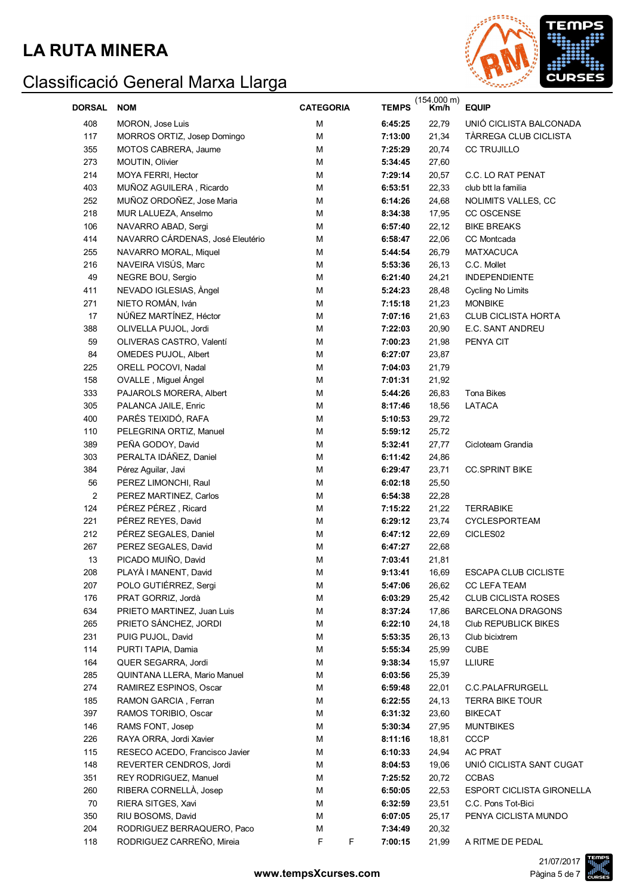

| <b>DORSAL</b>  | <b>NOM</b>                       | <b>CATEGORIA</b> | <b>TEMPS</b> | $(154.000 \text{ m})$<br>Km/h | <b>EQUIP</b>                     |
|----------------|----------------------------------|------------------|--------------|-------------------------------|----------------------------------|
| 408            | MORON, Jose Luis                 | М                | 6:45:25      | 22,79                         | UNIÓ CICLISTA BALCONADA          |
| 117            | MORROS ORTIZ, Josep Domingo      | M                | 7:13:00      | 21,34                         | TÀRREGA CLUB CICLISTA            |
| 355            | MOTOS CABRERA, Jaume             | M                | 7:25:29      | 20,74                         | <b>CC TRUJILLO</b>               |
| 273            | MOUTIN, Olivier                  | М                | 5:34:45      | 27,60                         |                                  |
| 214            | MOYA FERRI, Hector               | М                | 7:29:14      | 20,57                         | C.C. LO RAT PENAT                |
| 403            | MUÑOZ AGUILERA, Ricardo          | М                | 6:53:51      | 22,33                         | club btt la familia              |
| 252            | MUÑOZ ORDOÑEZ, Jose Maria        | М                | 6:14:26      | 24,68                         | NOLIMITS VALLES, CC              |
| 218            | MUR LALUEZA, Anselmo             | М                | 8:34:38      | 17,95                         | CC OSCENSE                       |
| 106            | NAVARRO ABAD, Sergi              | M                | 6:57:40      | 22,12                         | <b>BIKE BREAKS</b>               |
| 414            | NAVARRO CÁRDENAS, José Eleutério | M                | 6:58:47      | 22,06                         | CC Montcada                      |
| 255            | NAVARRO MORAL, Miquel            | М                | 5:44:54      | 26,79                         | <b>MATXACUCA</b>                 |
| 216            | NAVEIRA VISÚS, Marc              | M                | 5:53:36      | 26,13                         | C.C. Mollet                      |
| 49             | NEGRE BOU, Sergio                | M                | 6:21:40      | 24,21                         | <b>INDEPENDIENTE</b>             |
| 411            | NEVADO IGLESIAS, Angel           | М                | 5:24:23      | 28,48                         | Cycling No Limits                |
| 271            | NIETO ROMÁN, Iván                | М                | 7:15:18      | 21,23                         | <b>MONBIKE</b>                   |
| 17             | NÚÑEZ MARTÍNEZ, Héctor           | M                | 7:07:16      | 21,63                         | <b>CLUB CICLISTA HORTA</b>       |
| 388            | OLIVELLA PUJOL, Jordi            | M                | 7:22:03      | 20,90                         | E.C. SANT ANDREU                 |
| 59             | OLIVERAS CASTRO, Valentí         | М                | 7:00:23      | 21,98                         | PENYA CIT                        |
| 84             | OMEDES PUJOL, Albert             | M                | 6:27:07      | 23,87                         |                                  |
| 225            | ORELL POCOVI, Nadal              | M                | 7:04:03      | 21,79                         |                                  |
| 158            | OVALLE, Miguel Ángel             | M                | 7:01:31      | 21,92                         |                                  |
| 333            | PAJAROLS MORERA, Albert          | M                | 5:44:26      | 26,83                         | Tona Bikes                       |
| 305            | PALANCA JAILE, Enric             | M                | 8:17:46      | 18,56                         | LATACA                           |
| 400            | PARÉS TEIXIDÓ, RAFA              | M                | 5:10:53      | 29,72                         |                                  |
| 110            | PELEGRINA ORTIZ, Manuel          | M                | 5:59:12      | 25,72                         |                                  |
| 389            | PEÑA GODOY, David                | M                | 5:32:41      | 27,77                         | Cicloteam Grandia                |
| 303            | PERALTA IDÁÑEZ, Daniel           | M                | 6:11:42      | 24,86                         |                                  |
| 384            | Pérez Aguilar, Javi              | M                | 6:29:47      | 23,71                         | <b>CC.SPRINT BIKE</b>            |
| 56             | PEREZ LIMONCHI, Raul             | M                | 6:02:18      | 25,50                         |                                  |
| $\overline{c}$ | PEREZ MARTINEZ, Carlos           | M                | 6:54:38      | 22,28                         |                                  |
| 124            | PÉREZ PÉREZ, Ricard              | M                | 7:15:22      | 21,22                         | <b>TERRABIKE</b>                 |
| 221            | PÉREZ REYES, David               | M                | 6:29:12      | 23,74                         | CYCLESPORTEAM                    |
| 212            | PÉREZ SEGALES, Daniel            | M                | 6:47:12      | 22,69                         | CICLES02                         |
| 267            | PEREZ SEGALES, David             | M                | 6:47:27      | 22,68                         |                                  |
| 13             | PICADO MUIÑO, David              | М                | 7:03:41      | 21,81                         |                                  |
| 208            | PLAYÀ I MANENT, David            | M                | 9:13:41      | 16,69                         | <b>ESCAPA CLUB CICLISTE</b>      |
| 207            | POLO GUTIÉRREZ, Sergi            | M                | 5:47:06      | 26,62                         | CC LEFA TEAM                     |
| 176            | PRAT GORRIZ, Jordà               | M                | 6:03:29      | 25,42                         | CLUB CICLISTA ROSES              |
| 634            | PRIETO MARTINEZ, Juan Luis       | M                | 8:37:24      | 17,86                         | <b>BARCELONA DRAGONS</b>         |
| 265            | PRIETO SÁNCHEZ, JORDI            | M                | 6:22:10      | 24,18                         | Club REPUBLICK BIKES             |
| 231            | PUIG PUJOL, David                | M                | 5:53:35      | 26,13                         | Club bicixtrem                   |
| 114            | PURTI TAPIA, Damia               | M                | 5:55:34      | 25,99                         | <b>CUBE</b>                      |
| 164            | QUER SEGARRA, Jordi              | M                | 9:38:34      | 15,97                         | <b>LLIURE</b>                    |
| 285            | QUINTANA LLERA, Mario Manuel     | M                | 6:03:56      | 25,39                         |                                  |
| 274            | RAMIREZ ESPINOS, Oscar           | M                | 6:59:48      | 22,01                         | C.C.PALAFRURGELL                 |
| 185            | RAMON GARCIA, Ferran             | M                | 6:22:55      | 24,13                         | <b>TERRA BIKE TOUR</b>           |
| 397            | RAMOS TORIBIO, Oscar             | M                | 6:31:32      | 23,60                         | <b>BIKECAT</b>                   |
| 146            | RAMS FONT, Josep                 | M                | 5:30:34      | 27,95                         | <b>MUNTBIKES</b>                 |
| 226            | RAYA ORRA, Jordi Xavier          | M                | 8:11:16      | 18,81                         | <b>CCCP</b>                      |
| 115            | RESECO ACEDO, Francisco Javier   | M                | 6:10:33      | 24,94                         | <b>AC PRAT</b>                   |
| 148            | REVERTER CENDROS, Jordi          | M                | 8:04:53      | 19,06                         | UNIÓ CICLISTA SANT CUGAT         |
| 351            | REY RODRIGUEZ, Manuel            | M                | 7:25:52      | 20,72                         | <b>CCBAS</b>                     |
| 260            | RIBERA CORNELLÀ, Josep           | M                | 6:50:05      | 22,53                         | <b>ESPORT CICLISTA GIRONELLA</b> |
| 70             | RIERA SITGES, Xavi               | M                | 6:32:59      | 23,51                         | C.C. Pons Tot-Bici               |
| 350            | RIU BOSOMS, David                | M                | 6:07:05      | 25,17                         | PENYA CICLISTA MUNDO             |
| 204            | RODRIGUEZ BERRAQUERO, Paco       | M                | 7:34:49      | 20,32                         |                                  |
| 118            | RODRIGUEZ CARREÑO, Mireia        | F<br>F           | 7:00:15      | 21,99                         | A RITME DE PEDAL                 |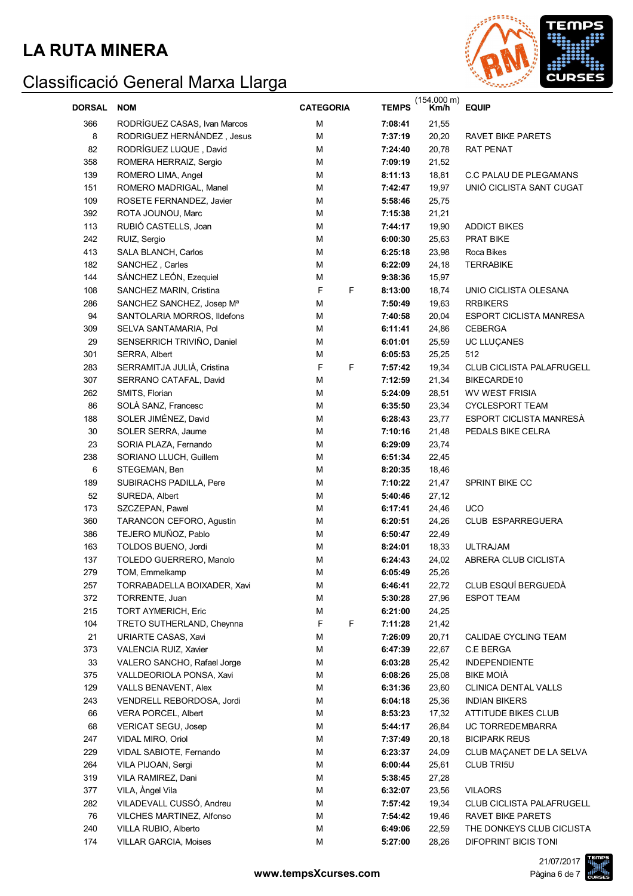

| <b>DORSAL</b> | <b>NOM</b>                   | <b>CATEGORIA</b> |   | (154.000 m)<br><b>TEMPS</b><br>Km/h |       | <b>EQUIP</b>                     |
|---------------|------------------------------|------------------|---|-------------------------------------|-------|----------------------------------|
| 366           | RODRÍGUEZ CASAS, Ivan Marcos | м                |   | 7:08:41                             | 21,55 |                                  |
| 8             | RODRIGUEZ HERNÁNDEZ, Jesus   | M                |   | 7:37:19                             | 20,20 | RAVET BIKE PARETS                |
| 82            | RODRÍGUEZ LUQUE, David       | M                |   | 7:24:40                             | 20,78 | RAT PENAT                        |
| 358           | ROMERA HERRAIZ, Sergio       | м                |   | 7:09:19                             | 21,52 |                                  |
| 139           | ROMERO LIMA, Angel           | M                |   | 8:11:13                             | 18,81 | C.C PALAU DE PLEGAMANS           |
| 151           | ROMERO MADRIGAL, Manel       | M                |   | 7:42:47                             | 19,97 | UNIÓ CICLISTA SANT CUGAT         |
| 109           | ROSETE FERNANDEZ, Javier     | M                |   | 5:58:46                             | 25,75 |                                  |
| 392           | ROTA JOUNOU, Marc            | M                |   | 7:15:38                             | 21,21 |                                  |
| 113           | RUBIÓ CASTELLS, Joan         | M                |   | 7:44:17                             | 19,90 | <b>ADDICT BIKES</b>              |
| 242           | RUIZ, Sergio                 | M                |   | 6:00:30                             | 25,63 | <b>PRAT BIKE</b>                 |
| 413           | SALA BLANCH, Carlos          | M                |   | 6:25:18                             | 23,98 | Roca Bikes                       |
| 182           | SANCHEZ, Carles              | M                |   | 6:22:09                             | 24,18 | <b>TERRABIKE</b>                 |
| 144           | SÁNCHEZ LEÓN, Ezequiel       | M                |   | 9:38:36                             | 15,97 |                                  |
| 108           | SANCHEZ MARIN, Cristina      | F                | F | 8:13:00                             | 18,74 | UNIO CICLISTA OLESANA            |
| 286           | SANCHEZ SANCHEZ, Josep Mª    | M                |   | 7:50:49                             | 19,63 | <b>RRBIKERS</b>                  |
| 94            | SANTOLARIA MORROS, Ildefons  | M                |   | 7:40:58                             | 20,04 | <b>ESPORT CICLISTA MANRESA</b>   |
| 309           | SELVA SANTAMARIA, Pol        | M                |   | 6:11:41                             | 24,86 | <b>CEBERGA</b>                   |
| 29            | SENSERRICH TRIVIÑO, Daniel   | M                |   | 6:01:01                             | 25,59 | UC LLUÇANES                      |
| 301           | SERRA, Albert                | М                |   | 6:05:53                             | 25,25 | 512                              |
| 283           | SERRAMITJA JULIÀ, Cristina   | $\mathsf F$      | F | 7:57:42                             | 19,34 | <b>CLUB CICLISTA PALAFRUGELL</b> |
| 307           | SERRANO CATAFAL, David       | M                |   | 7:12:59                             | 21,34 | BIKECARDE10                      |
| 262           | SMITS, Florian               | M                |   | 5:24:09                             | 28,51 | <b>WV WEST FRISIA</b>            |
| 86            | SOLÀ SANZ, Francesc          | M                |   | 6:35:50                             | 23,34 | <b>CYCLESPORT TEAM</b>           |
| 188           | SOLER JIMÉNEZ, David         | M                |   | 6:28:43                             | 23,77 | ESPORT CICLISTA MANRESÀ          |
| 30            | SOLER SERRA, Jaume           | M                |   | 7:10:16                             | 21,48 | PEDALS BIKE CELRA                |
| 23            | SORIA PLAZA, Fernando        | M                |   | 6:29:09                             | 23,74 |                                  |
| 238           | SORIANO LLUCH, Guillem       | M                |   | 6:51:34                             | 22,45 |                                  |
| 6             | STEGEMAN, Ben                | M                |   | 8:20:35                             | 18,46 |                                  |
| 189           | SUBIRACHS PADILLA, Pere      | M                |   | 7:10:22                             | 21,47 | SPRINT BIKE CC                   |
| 52            | SUREDA, Albert               | M                |   | 5:40:46                             | 27,12 |                                  |
| 173           | SZCZEPAN, Pawel              | M                |   | 6:17:41                             | 24,46 | <b>UCO</b>                       |
| 360           | TARANCON CEFORO, Agustin     | м                |   | 6:20:51                             | 24,26 | CLUB ESPARREGUERA                |
| 386           | TEJERO MUÑOZ, Pablo          | M                |   | 6:50:47                             | 22,49 |                                  |
| 163           | TOLDOS BUENO, Jordi          | M                |   | 8:24:01                             | 18,33 | <b>ULTRAJAM</b>                  |
| 137           | TOLEDO GUERRERO, Manolo      | М                |   | 6:24:43                             | 24,02 | ABRERA CLUB CICLISTA             |
| 279           | TOM, Emmelkamp               | M                |   | 6:05:49                             | 25,26 |                                  |
| 257           | TORRABADELLA BOIXADER, Xavi  | M                |   | 6:46:41                             | 22,72 | CLUB ESQUÍ BERGUEDÀ              |
| 372           | TORRENTE, Juan               | M                |   | 5:30:28                             | 27,96 | <b>ESPOT TEAM</b>                |
| 215           | <b>TORT AYMERICH, Eric</b>   | M                |   | 6:21:00                             | 24,25 |                                  |
| 104           | TRETO SUTHERLAND, Cheynna    | F                | F | 7:11:28                             | 21,42 |                                  |
| 21            | URIARTE CASAS, Xavi          | M                |   | 7:26:09                             | 20,71 | CALIDAE CYCLING TEAM             |
| 373           | VALENCIA RUIZ, Xavier        | M                |   | 6:47:39                             | 22,67 | C.E BERGA                        |
| 33            | VALERO SANCHO, Rafael Jorge  | M                |   | 6:03:28                             | 25,42 | <b>INDEPENDIENTE</b>             |
| 375           | VALLDEORIOLA PONSA, Xavi     | M                |   | 6:08:26                             | 25,08 | <b>BIKE MOIÀ</b>                 |
| 129           | VALLS BENAVENT, Alex         | M                |   | 6:31:36                             | 23,60 | CLINICA DENTAL VALLS             |
| 243           | VENDRELL REBORDOSA, Jordi    | M                |   | 6:04:18                             | 25,36 | <b>INDIAN BIKERS</b>             |
| 66            | <b>VERA PORCEL, Albert</b>   | M                |   | 8:53:23                             | 17,32 | ATTITUDE BIKES CLUB              |
| 68            | <b>VERICAT SEGU, Josep</b>   | M                |   | 5:44:17                             | 26,84 | UC TORREDEMBARRA                 |
| 247           | VIDAL MIRO, Oriol            | M                |   | 7:37:49                             | 20,18 | <b>BICIPARK REUS</b>             |
| 229           | VIDAL SABIOTE, Fernando      | M                |   | 6:23:37                             | 24,09 | CLUB MAÇANET DE LA SELVA         |
| 264           | VILA PIJOAN, Sergi           | M                |   | 6:00:44                             | 25,61 | <b>CLUB TRI5U</b>                |
| 319           | VILA RAMIREZ, Dani           | M                |   | 5:38:45                             | 27,28 |                                  |
| 377           | VILA, Àngel Vila             | м                |   | 6:32:07                             | 23,56 | <b>VILAORS</b>                   |
| 282           | VILADEVALL CUSSÓ, Andreu     | м                |   | 7:57:42                             | 19,34 | CLUB CICLISTA PALAFRUGELL        |
| 76            | VILCHES MARTINEZ, Alfonso    | м                |   | 7:54:42                             | 19,46 | RAVET BIKE PARETS                |
| 240           | VILLA RUBIO, Alberto         | M                |   | 6:49:06                             | 22,59 | THE DONKEYS CLUB CICLISTA        |
| 174           | VILLAR GARCIA, Moises        | M                |   | 5:27:00                             | 28,26 | DIFOPRINT BICIS TONI             |